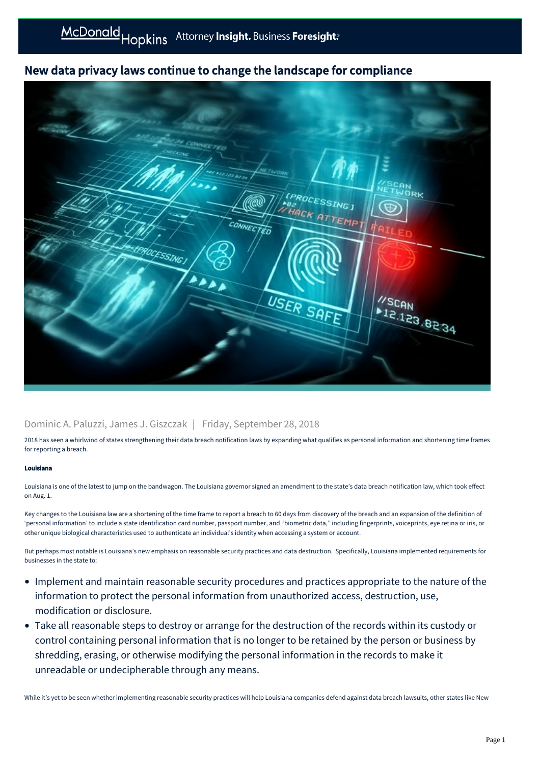# New data privacy laws continue to change the landscape for compliance



### Dominic A. Paluzzi, James J. Giszczak | Friday, September 28, 2018

2018 has seen a whirlwind of states strengthening their data breach notification laws by expanding what qualifies as personal information and shortening time frames for reporting a breach.

### Louisiana

Louisiana is one of the latest to jump on the bandwagon. The Louisiana governor signed an amendment to the state's data breach notification law, which took effect on Aug. 1.

Key changes to the Louisiana law are a shortening of the time frame to report a breach to 60 days from discovery of the breach and an expansion of the definition of 'personal information' to include a state identification card number, passport number, and "biometric data," including fingerprints, voiceprints, eye retina or iris, or other unique biological characteristics used to authenticate an individual's identity when accessing a system or account.

But perhaps most notable is Louisiana's new emphasis on reasonable security practices and data destruction. Specifically, Louisiana implemented requirements for businesses in the state to:

- Implement and maintain reasonable security procedures and practices appropriate to the nature of the information to protect the personal information from unauthorized access, destruction, use, modification or disclosure.
- Take all reasonable steps to destroy or arrange for the destruction of the records within its custody or control containing personal information that is no longer to be retained by the person or business by shredding, erasing, or otherwise modifying the personal information in the records to make it unreadable or undecipherable through any means.

While it's yet to be seen whether implementing reasonable security practices will help Louisiana companies defend against data breach lawsuits, other states like New